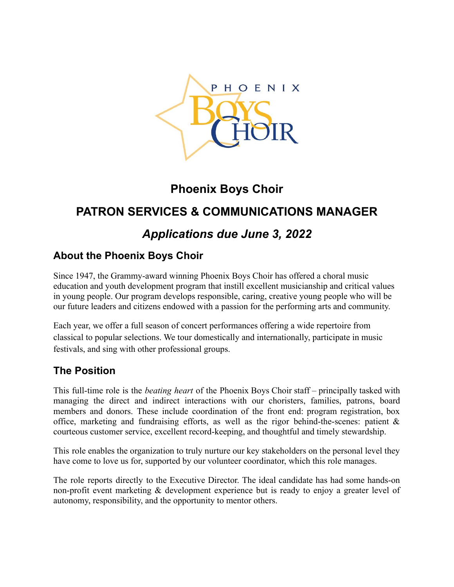

# **Phoenix Boys Choir**

# **PATRON SERVICES & COMMUNICATIONS MANAGER**

# *Applications due June 3, 2022*

## **About the Phoenix Boys Choir**

Since 1947, the Grammy-award winning Phoenix Boys Choir has offered a choral music education and youth development program that instill excellent musicianship and critical values in young people. Our program develops responsible, caring, creative young people who will be our future leaders and citizens endowed with a passion for the performing arts and community.

Each year, we offer a full season of concert performances offering a wide repertoire from classical to popular selections. We tour domestically and internationally, participate in music festivals, and sing with other professional groups.

## **The Position**

This full-time role is the *beating heart* of the Phoenix Boys Choir staff – principally tasked with managing the direct and indirect interactions with our choristers, families, patrons, board members and donors. These include coordination of the front end: program registration, box office, marketing and fundraising efforts, as well as the rigor behind-the-scenes: patient  $\&$ courteous customer service, excellent record-keeping, and thoughtful and timely stewardship.

This role enables the organization to truly nurture our key stakeholders on the personal level they have come to love us for, supported by our volunteer coordinator, which this role manages.

The role reports directly to the Executive Director. The ideal candidate has had some hands-on non-profit event marketing & development experience but is ready to enjoy a greater level of autonomy, responsibility, and the opportunity to mentor others.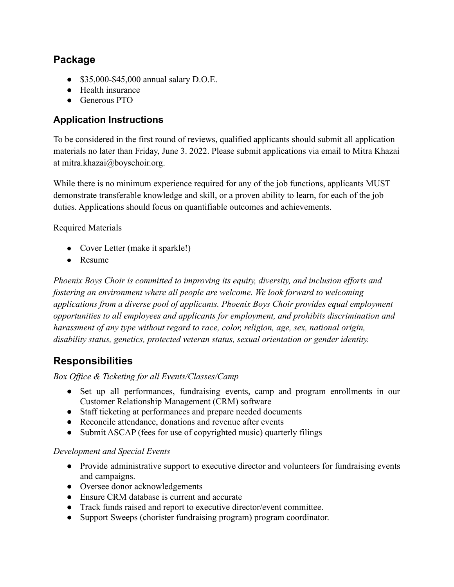## **Package**

- \$35,000-\$45,000 annual salary D.O.E.
- Health insurance
- Generous PTO

### **Application Instructions**

To be considered in the first round of reviews, qualified applicants should submit all application materials no later than Friday, June 3. 2022. Please submit applications via email to Mitra Khazai at mitra.khazai@boyschoir.org.

While there is no minimum experience required for any of the job functions, applicants MUST demonstrate transferable knowledge and skill, or a proven ability to learn, for each of the job duties. Applications should focus on quantifiable outcomes and achievements.

Required Materials

- Cover Letter (make it sparkle!)
- Resume

*Phoenix Boys Choir is committed to improving its equity, diversity, and inclusion efforts and fostering an environment where all people are welcome. We look forward to welcoming applications from a diverse pool of applicants. Phoenix Boys Choir provides equal employment opportunities to all employees and applicants for employment, and prohibits discrimination and harassment of any type without regard to race, color, religion, age, sex, national origin, disability status, genetics, protected veteran status, sexual orientation or gender identity.*

## **Responsibilities**

*Box Office & Ticketing for all Events/Classes/Camp*

- Set up all performances, fundraising events, camp and program enrollments in our Customer Relationship Management (CRM) software
- Staff ticketing at performances and prepare needed documents
- Reconcile attendance, donations and revenue after events
- Submit ASCAP (fees for use of copyrighted music) quarterly filings

#### *Development and Special Events*

- Provide administrative support to executive director and volunteers for fundraising events and campaigns.
- Oversee donor acknowledgements
- Ensure CRM database is current and accurate
- Track funds raised and report to executive director/event committee.
- Support Sweeps (chorister fundraising program) program coordinator.